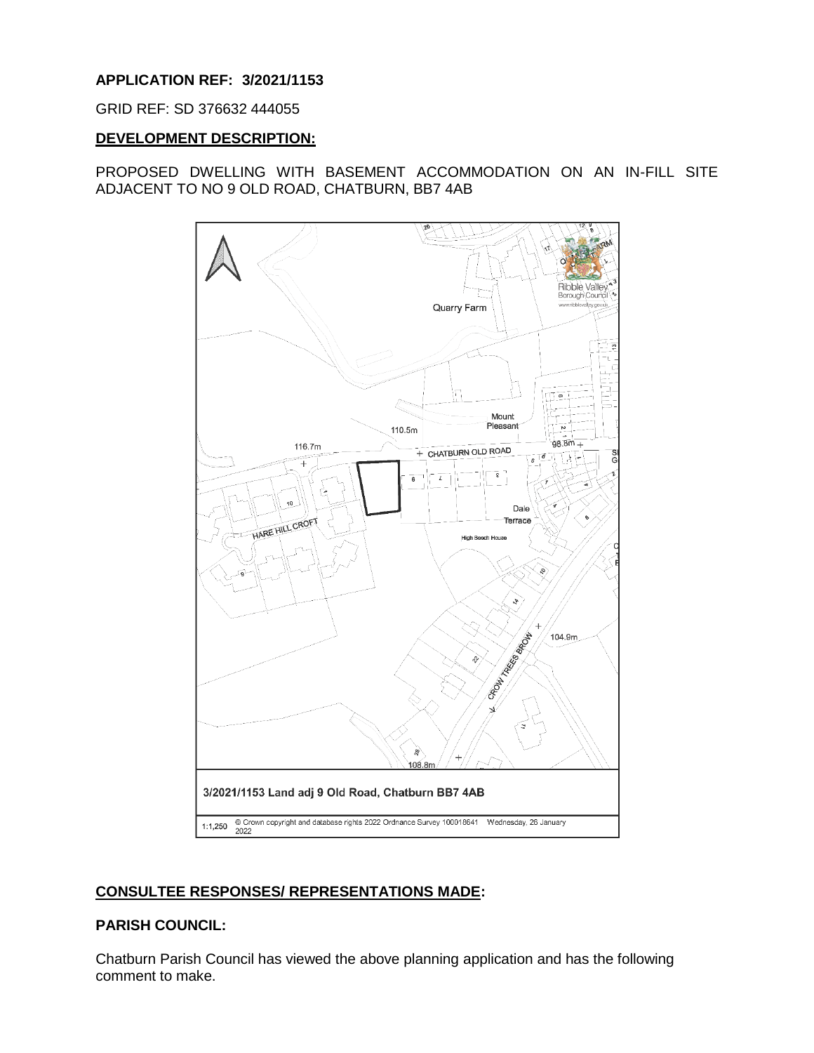## **APPLICATION REF: 3/2021/1153**

GRID REF: SD 376632 444055

## **DEVELOPMENT DESCRIPTION:**

## PROPOSED DWELLING WITH BASEMENT ACCOMMODATION ON AN IN-FILL SITE ADJACENT TO NO 9 OLD ROAD, CHATBURN, BB7 4AB



# **CONSULTEE RESPONSES/ REPRESENTATIONS MADE:**

## **PARISH COUNCIL:**

Chatburn Parish Council has viewed the above planning application and has the following comment to make.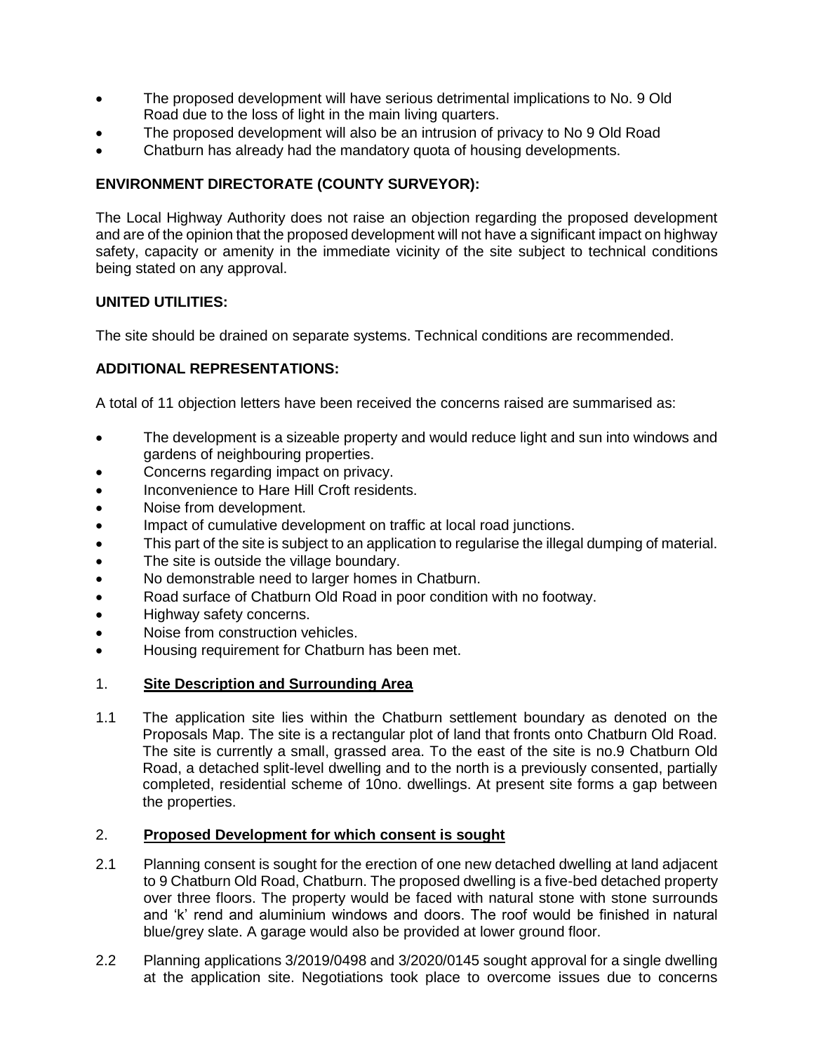- The proposed development will have serious detrimental implications to No. 9 Old Road due to the loss of light in the main living quarters.
- The proposed development will also be an intrusion of privacy to No 9 Old Road
- Chatburn has already had the mandatory quota of housing developments.

## **ENVIRONMENT DIRECTORATE (COUNTY SURVEYOR):**

The Local Highway Authority does not raise an objection regarding the proposed development and are of the opinion that the proposed development will not have a significant impact on highway safety, capacity or amenity in the immediate vicinity of the site subject to technical conditions being stated on any approval.

## **UNITED UTILITIES:**

The site should be drained on separate systems. Technical conditions are recommended.

## **ADDITIONAL REPRESENTATIONS:**

A total of 11 objection letters have been received the concerns raised are summarised as:

- The development is a sizeable property and would reduce light and sun into windows and gardens of neighbouring properties.
- Concerns regarding impact on privacy.
- **Inconvenience to Hare Hill Croft residents.**
- Noise from development.
- Impact of cumulative development on traffic at local road junctions.
- This part of the site is subject to an application to regularise the illegal dumping of material.
- The site is outside the village boundary.
- No demonstrable need to larger homes in Chatburn.
- Road surface of Chatburn Old Road in poor condition with no footway.
- Highway safety concerns.
- Noise from construction vehicles.
- Housing requirement for Chatburn has been met.

## 1. **Site Description and Surrounding Area**

1.1 The application site lies within the Chatburn settlement boundary as denoted on the Proposals Map. The site is a rectangular plot of land that fronts onto Chatburn Old Road. The site is currently a small, grassed area. To the east of the site is no.9 Chatburn Old Road, a detached split-level dwelling and to the north is a previously consented, partially completed, residential scheme of 10no. dwellings. At present site forms a gap between the properties.

#### 2. **Proposed Development for which consent is sought**

- 2.1 Planning consent is sought for the erection of one new detached dwelling at land adjacent to 9 Chatburn Old Road, Chatburn. The proposed dwelling is a five-bed detached property over three floors. The property would be faced with natural stone with stone surrounds and 'k' rend and aluminium windows and doors. The roof would be finished in natural blue/grey slate. A garage would also be provided at lower ground floor.
- 2.2 Planning applications 3/2019/0498 and 3/2020/0145 sought approval for a single dwelling at the application site. Negotiations took place to overcome issues due to concerns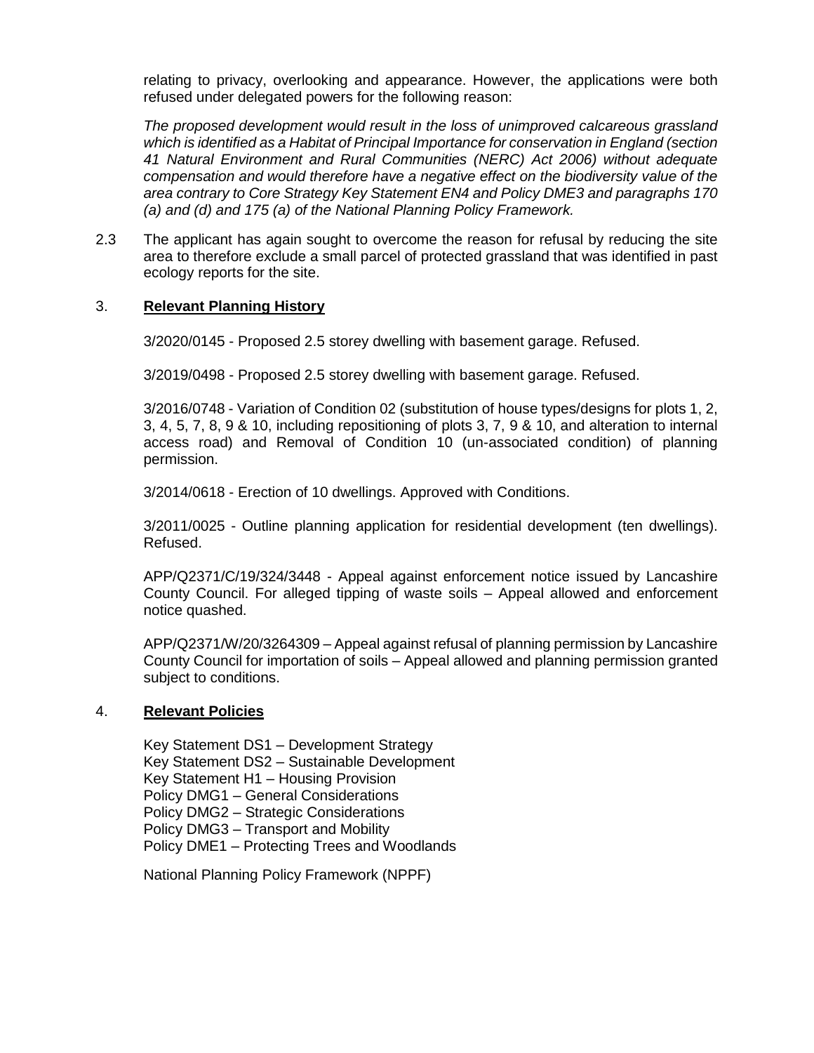relating to privacy, overlooking and appearance. However, the applications were both refused under delegated powers for the following reason:

*The proposed development would result in the loss of unimproved calcareous grassland which is identified as a Habitat of Principal Importance for conservation in England (section 41 Natural Environment and Rural Communities (NERC) Act 2006) without adequate compensation and would therefore have a negative effect on the biodiversity value of the area contrary to Core Strategy Key Statement EN4 and Policy DME3 and paragraphs 170 (a) and (d) and 175 (a) of the National Planning Policy Framework.*

2.3 The applicant has again sought to overcome the reason for refusal by reducing the site area to therefore exclude a small parcel of protected grassland that was identified in past ecology reports for the site.

#### 3. **Relevant Planning History**

3/2020/0145 - Proposed 2.5 storey dwelling with basement garage. Refused.

3/2019/0498 - Proposed 2.5 storey dwelling with basement garage. Refused.

3/2016/0748 - Variation of Condition 02 (substitution of house types/designs for plots 1, 2, 3, 4, 5, 7, 8, 9 & 10, including repositioning of plots 3, 7, 9 & 10, and alteration to internal access road) and Removal of Condition 10 (un-associated condition) of planning permission.

3/2014/0618 - Erection of 10 dwellings. Approved with Conditions.

3/2011/0025 - Outline planning application for residential development (ten dwellings). Refused.

APP/Q2371/C/19/324/3448 - Appeal against enforcement notice issued by Lancashire County Council. For alleged tipping of waste soils – Appeal allowed and enforcement notice quashed.

APP/Q2371/W/20/3264309 – Appeal against refusal of planning permission by Lancashire County Council for importation of soils – Appeal allowed and planning permission granted subject to conditions.

#### 4. **Relevant Policies**

Key Statement DS1 – Development Strategy Key Statement DS2 – Sustainable Development Key Statement H1 – Housing Provision Policy DMG1 – General Considerations Policy DMG2 – Strategic Considerations Policy DMG3 – Transport and Mobility Policy DME1 – Protecting Trees and Woodlands

National Planning Policy Framework (NPPF)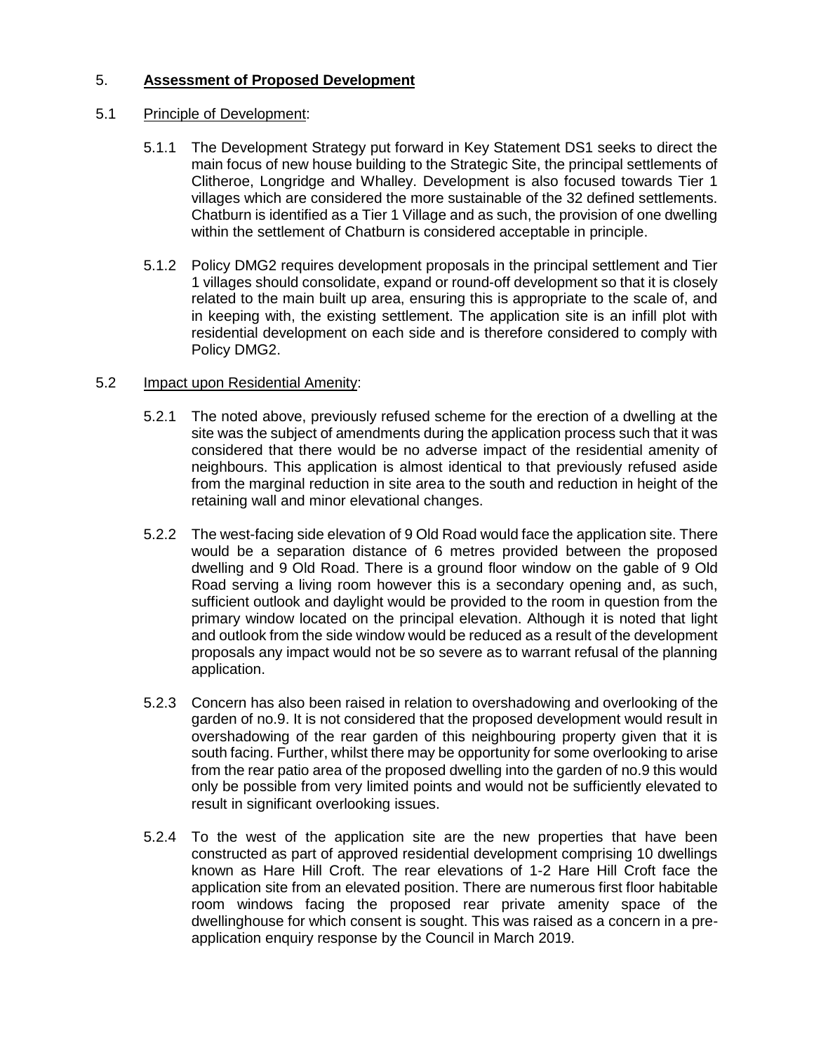# 5. **Assessment of Proposed Development**

## 5.1 Principle of Development:

- 5.1.1 The Development Strategy put forward in Key Statement DS1 seeks to direct the main focus of new house building to the Strategic Site, the principal settlements of Clitheroe, Longridge and Whalley. Development is also focused towards Tier 1 villages which are considered the more sustainable of the 32 defined settlements. Chatburn is identified as a Tier 1 Village and as such, the provision of one dwelling within the settlement of Chatburn is considered acceptable in principle.
- 5.1.2 Policy DMG2 requires development proposals in the principal settlement and Tier 1 villages should consolidate, expand or round-off development so that it is closely related to the main built up area, ensuring this is appropriate to the scale of, and in keeping with, the existing settlement. The application site is an infill plot with residential development on each side and is therefore considered to comply with Policy DMG2.

### 5.2 Impact upon Residential Amenity:

- 5.2.1 The noted above, previously refused scheme for the erection of a dwelling at the site was the subject of amendments during the application process such that it was considered that there would be no adverse impact of the residential amenity of neighbours. This application is almost identical to that previously refused aside from the marginal reduction in site area to the south and reduction in height of the retaining wall and minor elevational changes.
- 5.2.2 The west-facing side elevation of 9 Old Road would face the application site. There would be a separation distance of 6 metres provided between the proposed dwelling and 9 Old Road. There is a ground floor window on the gable of 9 Old Road serving a living room however this is a secondary opening and, as such, sufficient outlook and daylight would be provided to the room in question from the primary window located on the principal elevation. Although it is noted that light and outlook from the side window would be reduced as a result of the development proposals any impact would not be so severe as to warrant refusal of the planning application.
- 5.2.3 Concern has also been raised in relation to overshadowing and overlooking of the garden of no.9. It is not considered that the proposed development would result in overshadowing of the rear garden of this neighbouring property given that it is south facing. Further, whilst there may be opportunity for some overlooking to arise from the rear patio area of the proposed dwelling into the garden of no.9 this would only be possible from very limited points and would not be sufficiently elevated to result in significant overlooking issues.
- 5.2.4 To the west of the application site are the new properties that have been constructed as part of approved residential development comprising 10 dwellings known as Hare Hill Croft. The rear elevations of 1-2 Hare Hill Croft face the application site from an elevated position. There are numerous first floor habitable room windows facing the proposed rear private amenity space of the dwellinghouse for which consent is sought. This was raised as a concern in a preapplication enquiry response by the Council in March 2019.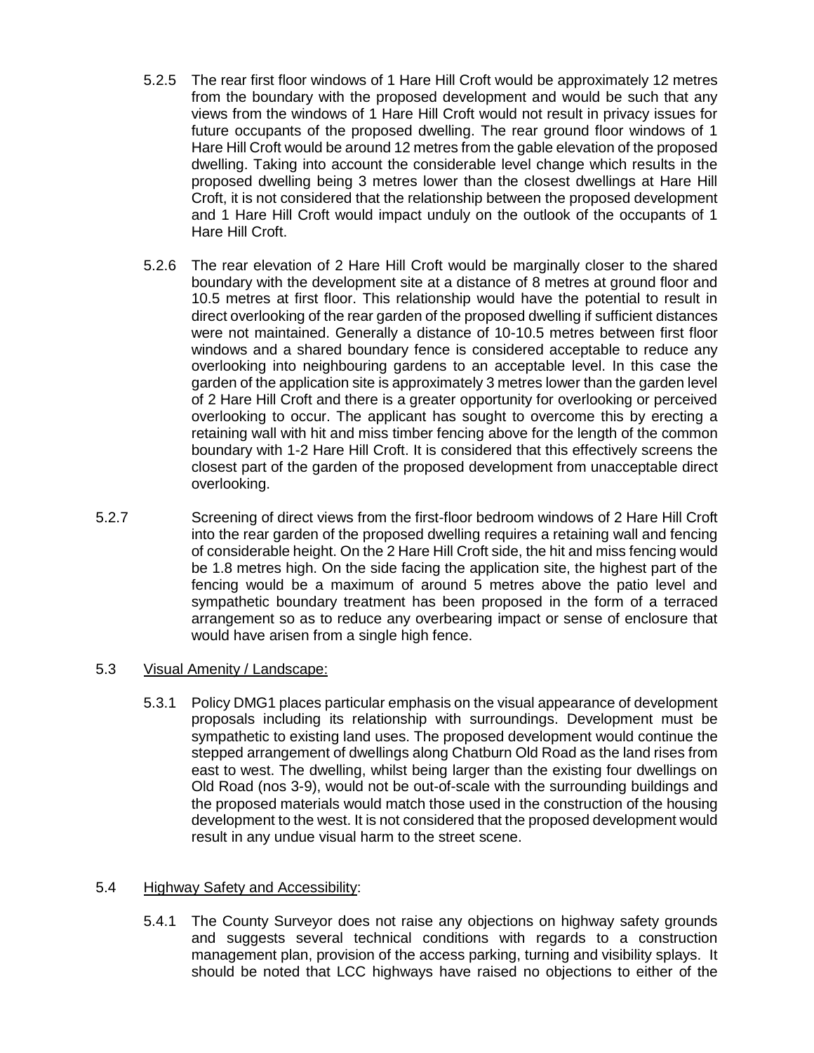- 5.2.5 The rear first floor windows of 1 Hare Hill Croft would be approximately 12 metres from the boundary with the proposed development and would be such that any views from the windows of 1 Hare Hill Croft would not result in privacy issues for future occupants of the proposed dwelling. The rear ground floor windows of 1 Hare Hill Croft would be around 12 metres from the gable elevation of the proposed dwelling. Taking into account the considerable level change which results in the proposed dwelling being 3 metres lower than the closest dwellings at Hare Hill Croft, it is not considered that the relationship between the proposed development and 1 Hare Hill Croft would impact unduly on the outlook of the occupants of 1 Hare Hill Croft.
- 5.2.6 The rear elevation of 2 Hare Hill Croft would be marginally closer to the shared boundary with the development site at a distance of 8 metres at ground floor and 10.5 metres at first floor. This relationship would have the potential to result in direct overlooking of the rear garden of the proposed dwelling if sufficient distances were not maintained. Generally a distance of 10-10.5 metres between first floor windows and a shared boundary fence is considered acceptable to reduce any overlooking into neighbouring gardens to an acceptable level. In this case the garden of the application site is approximately 3 metres lower than the garden level of 2 Hare Hill Croft and there is a greater opportunity for overlooking or perceived overlooking to occur. The applicant has sought to overcome this by erecting a retaining wall with hit and miss timber fencing above for the length of the common boundary with 1-2 Hare Hill Croft. It is considered that this effectively screens the closest part of the garden of the proposed development from unacceptable direct overlooking.
- 5.2.7 Screening of direct views from the first-floor bedroom windows of 2 Hare Hill Croft into the rear garden of the proposed dwelling requires a retaining wall and fencing of considerable height. On the 2 Hare Hill Croft side, the hit and miss fencing would be 1.8 metres high. On the side facing the application site, the highest part of the fencing would be a maximum of around 5 metres above the patio level and sympathetic boundary treatment has been proposed in the form of a terraced arrangement so as to reduce any overbearing impact or sense of enclosure that would have arisen from a single high fence.

## 5.3 Visual Amenity / Landscape:

5.3.1 Policy DMG1 places particular emphasis on the visual appearance of development proposals including its relationship with surroundings. Development must be sympathetic to existing land uses. The proposed development would continue the stepped arrangement of dwellings along Chatburn Old Road as the land rises from east to west. The dwelling, whilst being larger than the existing four dwellings on Old Road (nos 3-9), would not be out-of-scale with the surrounding buildings and the proposed materials would match those used in the construction of the housing development to the west. It is not considered that the proposed development would result in any undue visual harm to the street scene.

## 5.4 Highway Safety and Accessibility:

5.4.1 The County Surveyor does not raise any objections on highway safety grounds and suggests several technical conditions with regards to a construction management plan, provision of the access parking, turning and visibility splays. It should be noted that LCC highways have raised no objections to either of the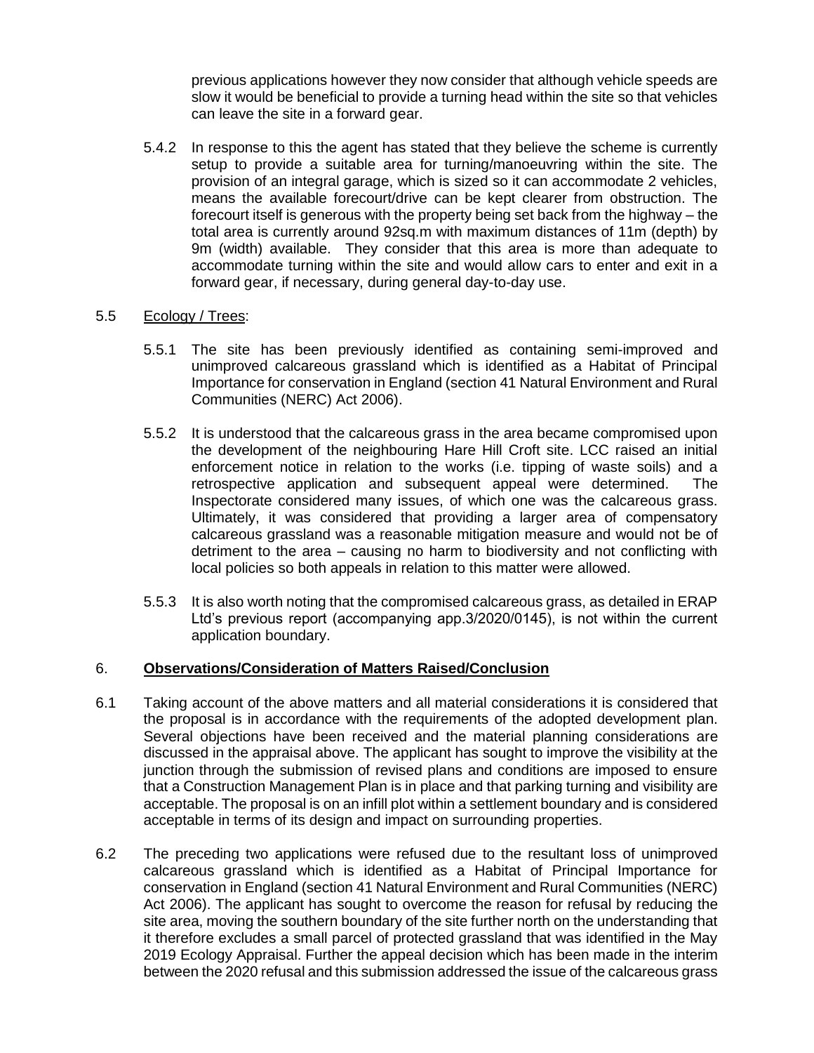previous applications however they now consider that although vehicle speeds are slow it would be beneficial to provide a turning head within the site so that vehicles can leave the site in a forward gear.

5.4.2 In response to this the agent has stated that they believe the scheme is currently setup to provide a suitable area for turning/manoeuvring within the site. The provision of an integral garage, which is sized so it can accommodate 2 vehicles, means the available forecourt/drive can be kept clearer from obstruction. The forecourt itself is generous with the property being set back from the highway – the total area is currently around 92sq.m with maximum distances of 11m (depth) by 9m (width) available. They consider that this area is more than adequate to accommodate turning within the site and would allow cars to enter and exit in a forward gear, if necessary, during general day-to-day use.

### 5.5 Ecology / Trees:

- 5.5.1 The site has been previously identified as containing semi-improved and unimproved calcareous grassland which is identified as a Habitat of Principal Importance for conservation in England (section 41 Natural Environment and Rural Communities (NERC) Act 2006).
- 5.5.2 It is understood that the calcareous grass in the area became compromised upon the development of the neighbouring Hare Hill Croft site. LCC raised an initial enforcement notice in relation to the works (i.e. tipping of waste soils) and a retrospective application and subsequent appeal were determined. The Inspectorate considered many issues, of which one was the calcareous grass. Ultimately, it was considered that providing a larger area of compensatory calcareous grassland was a reasonable mitigation measure and would not be of detriment to the area – causing no harm to biodiversity and not conflicting with local policies so both appeals in relation to this matter were allowed.
- 5.5.3 It is also worth noting that the compromised calcareous grass, as detailed in ERAP Ltd's previous report (accompanying app.3/2020/0145), is not within the current application boundary.

#### 6. **Observations/Consideration of Matters Raised/Conclusion**

- 6.1 Taking account of the above matters and all material considerations it is considered that the proposal is in accordance with the requirements of the adopted development plan. Several objections have been received and the material planning considerations are discussed in the appraisal above. The applicant has sought to improve the visibility at the junction through the submission of revised plans and conditions are imposed to ensure that a Construction Management Plan is in place and that parking turning and visibility are acceptable. The proposal is on an infill plot within a settlement boundary and is considered acceptable in terms of its design and impact on surrounding properties.
- 6.2 The preceding two applications were refused due to the resultant loss of unimproved calcareous grassland which is identified as a Habitat of Principal Importance for conservation in England (section 41 Natural Environment and Rural Communities (NERC) Act 2006). The applicant has sought to overcome the reason for refusal by reducing the site area, moving the southern boundary of the site further north on the understanding that it therefore excludes a small parcel of protected grassland that was identified in the May 2019 Ecology Appraisal. Further the appeal decision which has been made in the interim between the 2020 refusal and this submission addressed the issue of the calcareous grass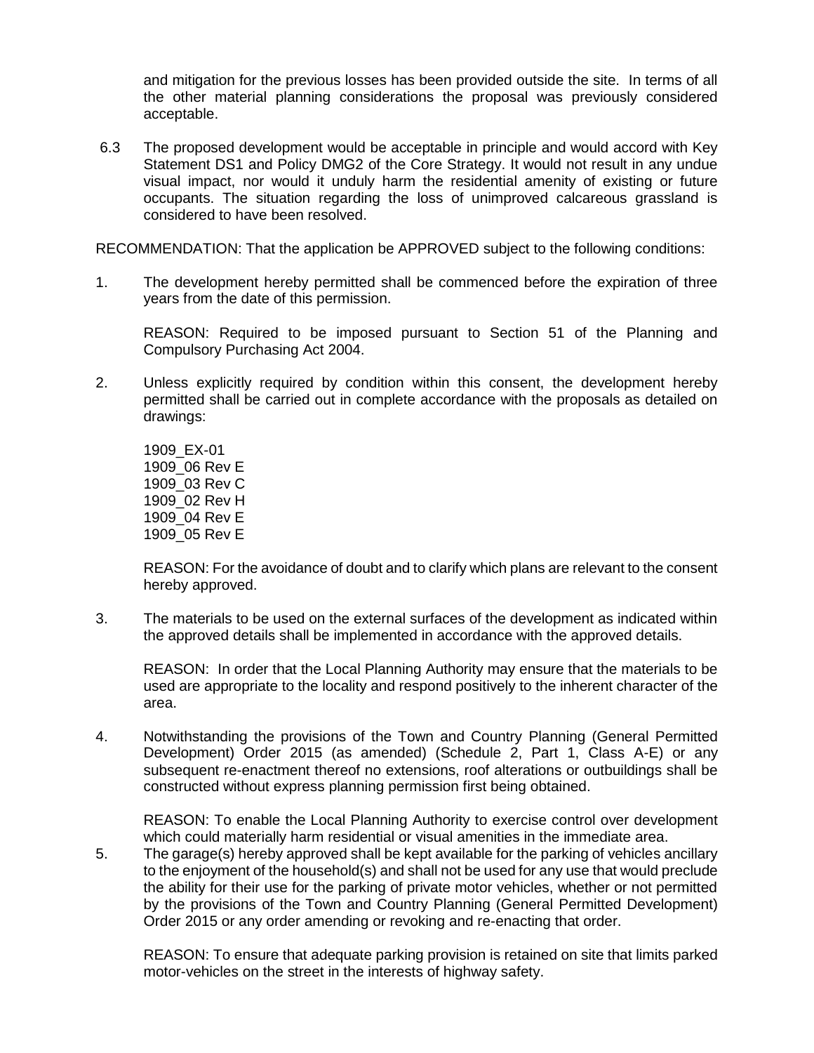and mitigation for the previous losses has been provided outside the site. In terms of all the other material planning considerations the proposal was previously considered acceptable.

6.3 The proposed development would be acceptable in principle and would accord with Key Statement DS1 and Policy DMG2 of the Core Strategy. It would not result in any undue visual impact, nor would it unduly harm the residential amenity of existing or future occupants. The situation regarding the loss of unimproved calcareous grassland is considered to have been resolved.

RECOMMENDATION: That the application be APPROVED subject to the following conditions:

1. The development hereby permitted shall be commenced before the expiration of three years from the date of this permission.

REASON: Required to be imposed pursuant to Section 51 of the Planning and Compulsory Purchasing Act 2004.

2. Unless explicitly required by condition within this consent, the development hereby permitted shall be carried out in complete accordance with the proposals as detailed on drawings:

1909\_EX-01 1909\_06 Rev E 1909\_03 Rev C 1909\_02 Rev H 1909\_04 Rev E 1909\_05 Rev E

REASON: For the avoidance of doubt and to clarify which plans are relevant to the consent hereby approved.

3. The materials to be used on the external surfaces of the development as indicated within the approved details shall be implemented in accordance with the approved details.

REASON: In order that the Local Planning Authority may ensure that the materials to be used are appropriate to the locality and respond positively to the inherent character of the area.

4. Notwithstanding the provisions of the Town and Country Planning (General Permitted Development) Order 2015 (as amended) (Schedule 2, Part 1, Class A-E) or any subsequent re-enactment thereof no extensions, roof alterations or outbuildings shall be constructed without express planning permission first being obtained.

REASON: To enable the Local Planning Authority to exercise control over development which could materially harm residential or visual amenities in the immediate area.

5. The garage(s) hereby approved shall be kept available for the parking of vehicles ancillary to the enjoyment of the household(s) and shall not be used for any use that would preclude the ability for their use for the parking of private motor vehicles, whether or not permitted by the provisions of the Town and Country Planning (General Permitted Development) Order 2015 or any order amending or revoking and re-enacting that order.

REASON: To ensure that adequate parking provision is retained on site that limits parked motor-vehicles on the street in the interests of highway safety.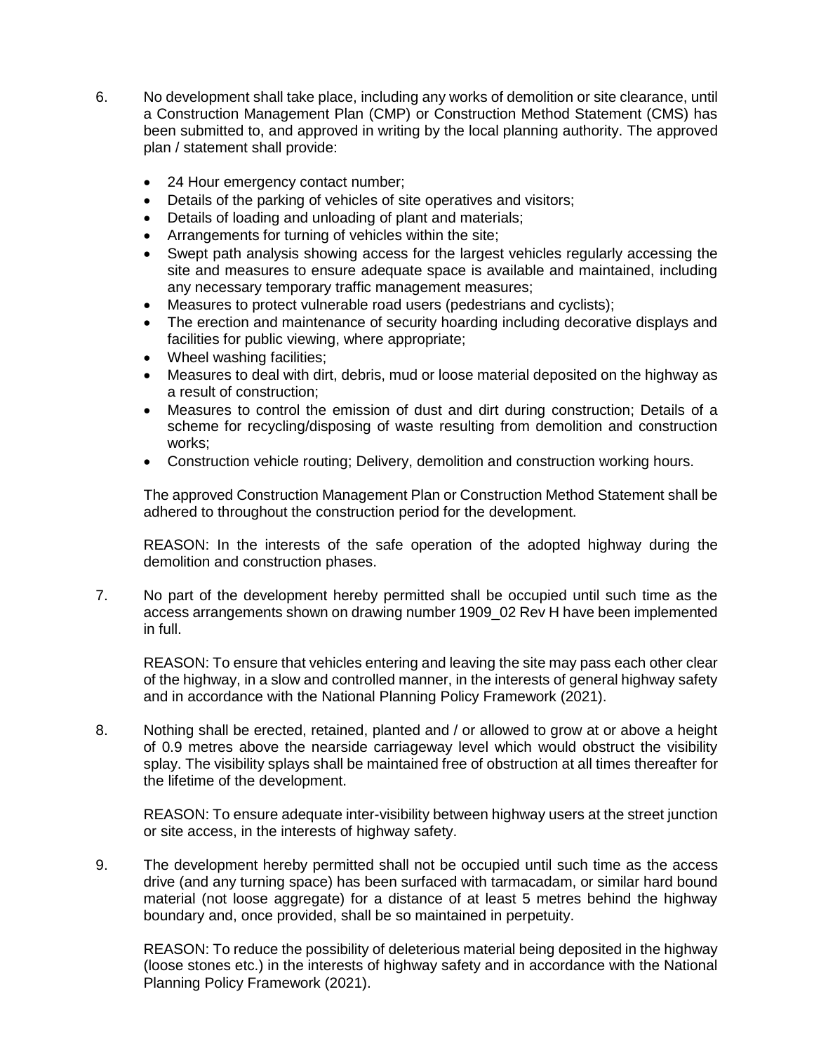- 6. No development shall take place, including any works of demolition or site clearance, until a Construction Management Plan (CMP) or Construction Method Statement (CMS) has been submitted to, and approved in writing by the local planning authority. The approved plan / statement shall provide:
	- 24 Hour emergency contact number;
	- Details of the parking of vehicles of site operatives and visitors;
	- Details of loading and unloading of plant and materials;
	- Arrangements for turning of vehicles within the site;
	- Swept path analysis showing access for the largest vehicles regularly accessing the site and measures to ensure adequate space is available and maintained, including any necessary temporary traffic management measures;
	- Measures to protect vulnerable road users (pedestrians and cyclists);
	- The erection and maintenance of security hoarding including decorative displays and facilities for public viewing, where appropriate;
	- Wheel washing facilities;
	- Measures to deal with dirt, debris, mud or loose material deposited on the highway as a result of construction;
	- Measures to control the emission of dust and dirt during construction; Details of a scheme for recycling/disposing of waste resulting from demolition and construction works;
	- Construction vehicle routing; Delivery, demolition and construction working hours.

The approved Construction Management Plan or Construction Method Statement shall be adhered to throughout the construction period for the development.

REASON: In the interests of the safe operation of the adopted highway during the demolition and construction phases.

7. No part of the development hereby permitted shall be occupied until such time as the access arrangements shown on drawing number 1909\_02 Rev H have been implemented in full.

REASON: To ensure that vehicles entering and leaving the site may pass each other clear of the highway, in a slow and controlled manner, in the interests of general highway safety and in accordance with the National Planning Policy Framework (2021).

8. Nothing shall be erected, retained, planted and / or allowed to grow at or above a height of 0.9 metres above the nearside carriageway level which would obstruct the visibility splay. The visibility splays shall be maintained free of obstruction at all times thereafter for the lifetime of the development.

REASON: To ensure adequate inter-visibility between highway users at the street junction or site access, in the interests of highway safety.

9. The development hereby permitted shall not be occupied until such time as the access drive (and any turning space) has been surfaced with tarmacadam, or similar hard bound material (not loose aggregate) for a distance of at least 5 metres behind the highway boundary and, once provided, shall be so maintained in perpetuity.

REASON: To reduce the possibility of deleterious material being deposited in the highway (loose stones etc.) in the interests of highway safety and in accordance with the National Planning Policy Framework (2021).